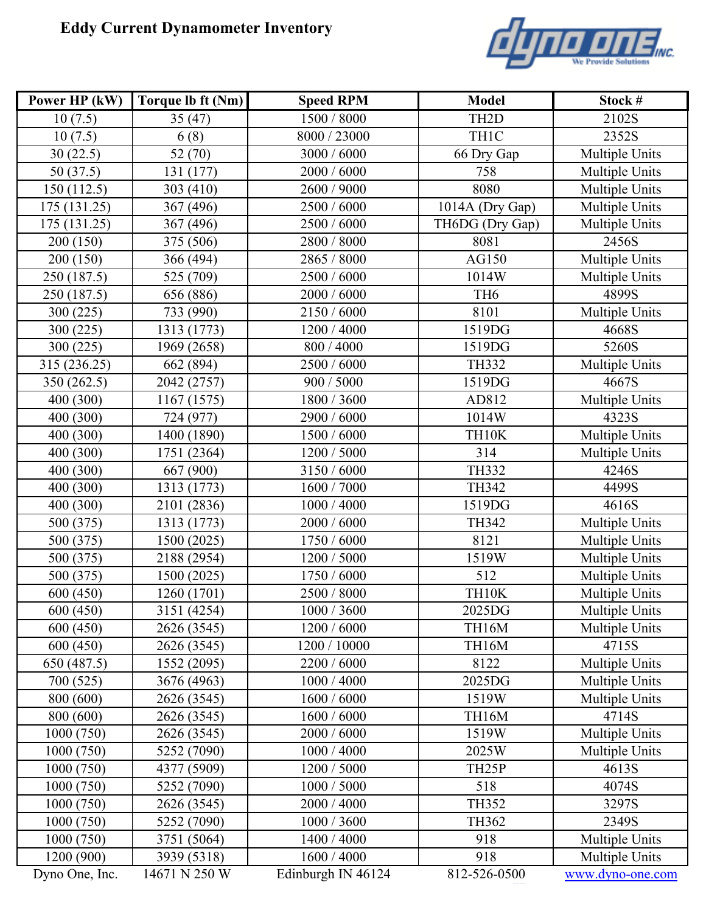## **Eddy Current Dynamometer Inventory**



| Power HP (kW)  | Torque lb ft (Nm) | <b>Speed RPM</b>   | <b>Model</b>       | Stock #               |
|----------------|-------------------|--------------------|--------------------|-----------------------|
| 10(7.5)        | 35(47)            | 1500 / 8000        | TH <sub>2</sub> D  | 2102S                 |
| 10(7.5)        | 6(8)              | 8000 / 23000       | TH1C               | 2352S                 |
| 30(22.5)       | 52 (70)           | 3000 / 6000        | 66 Dry Gap         | Multiple Units        |
| 50(37.5)       | 131 (177)         | 2000 / 6000        | 758                | Multiple Units        |
| 150 (112.5)    | 303 (410)         | 2600 / 9000        | 8080               | Multiple Units        |
| 175 (131.25)   | 367 (496)         | 2500 / 6000        | 1014A (Dry Gap)    | Multiple Units        |
| 175 (131.25)   | 367 (496)         | 2500 / 6000        | TH6DG (Dry Gap)    | Multiple Units        |
| 200 (150)      | 375 (506)         | 2800 / 8000        | 8081               | 2456S                 |
| 200 (150)      | 366 (494)         | 2865 / 8000        | AG150              | Multiple Units        |
| 250 (187.5)    | 525 (709)         | 2500 / 6000        | 1014W              | Multiple Units        |
| 250 (187.5)    | 656 (886)         | 2000 / 6000        | TH <sub>6</sub>    | 4899S                 |
| 300 (225)      | 733 (990)         | 2150 / 6000        | 8101               | Multiple Units        |
| 300 (225)      | 1313 (1773)       | 1200 / 4000        | 1519DG             | 4668S                 |
| 300 (225)      | 1969 (2658)       | 800 / 4000         | 1519DG             | 5260S                 |
| 315 (236.25)   | 662 (894)         | 2500 / 6000        | <b>TH332</b>       | Multiple Units        |
| 350 (262.5)    | 2042 (2757)       | 900 / 5000         | 1519DG             | 4667S                 |
| 400 (300)      | 1167 (1575)       | 1800 / 3600        | AD812              | Multiple Units        |
| 400 (300)      | 724 (977)         | 2900 / 6000        | 1014W              | 4323S                 |
| 400 (300)      | 1400 (1890)       | 1500 / 6000        | TH10K              | Multiple Units        |
| 400 (300)      | 1751 (2364)       | 1200 / 5000        | 314                | Multiple Units        |
| 400 (300)      | 667 (900)         | 3150 / 6000        | TH332              | 4246S                 |
| 400 (300)      | 1313 (1773)       | 1600 / 7000        | TH342              | 4499S                 |
| 400 (300)      | 2101 (2836)       | 1000 / 4000        | 1519DG             | 4616S                 |
| 500 (375)      | 1313 (1773)       | 2000 / 6000        | TH342              | Multiple Units        |
| 500 (375)      | 1500 (2025)       | 1750 / 6000        | 8121               | Multiple Units        |
| 500 (375)      | 2188 (2954)       | 1200 / 5000        | 1519W              | Multiple Units        |
| 500 (375)      | 1500 (2025)       | 1750 / 6000        | 512                | Multiple Units        |
| 600 (450)      | 1260 (1701)       | 2500 / 8000        | TH10K              | Multiple Units        |
| 600(450)       | 3151 (4254)       | 1000 / 3600        | 2025DG             | <b>Multiple Units</b> |
| 600 (450)      | 2626 (3545)       | 1200 / 6000        | TH16M              | Multiple Units        |
| 600 (450)      | 2626 (3545)       | 1200 / 10000       | TH16M              | 4715S                 |
| 650 (487.5)    | 1552 (2095)       | 2200 / 6000        | 8122               | Multiple Units        |
| 700 (525)      | 3676 (4963)       | 1000 / 4000        | 2025DG             | Multiple Units        |
| 800 (600)      | 2626 (3545)       | 1600 / 6000        | 1519W              | Multiple Units        |
| 800 (600)      | 2626 (3545)       | 1600 / 6000        | TH16M              | 4714S                 |
| 1000 (750)     | 2626 (3545)       | 2000 / 6000        | 1519W              | Multiple Units        |
| 1000 (750)     | 5252 (7090)       | 1000 / 4000        | 2025W              | Multiple Units        |
| 1000 (750)     | 4377 (5909)       | 1200 / 5000        | TH <sub>25</sub> P | 4613S                 |
| 1000 (750)     | 5252 (7090)       | 1000 / 5000        | 518                | 4074S                 |
| 1000 (750)     | 2626 (3545)       | 2000 / 4000        | TH352              | 3297S                 |
| 1000 (750)     | 5252 (7090)       | 1000 / 3600        | TH362              | 2349S                 |
| 1000(750)      | 3751 (5064)       | 1400 / 4000        | 918                | Multiple Units        |
| 1200 (900)     | 3939 (5318)       | 1600 / 4000        | 918                | Multiple Units        |
| Dyno One, Inc. | 14671 N 250 W     | Edinburgh IN 46124 | 812-526-0500       | www.dyno-one.com      |